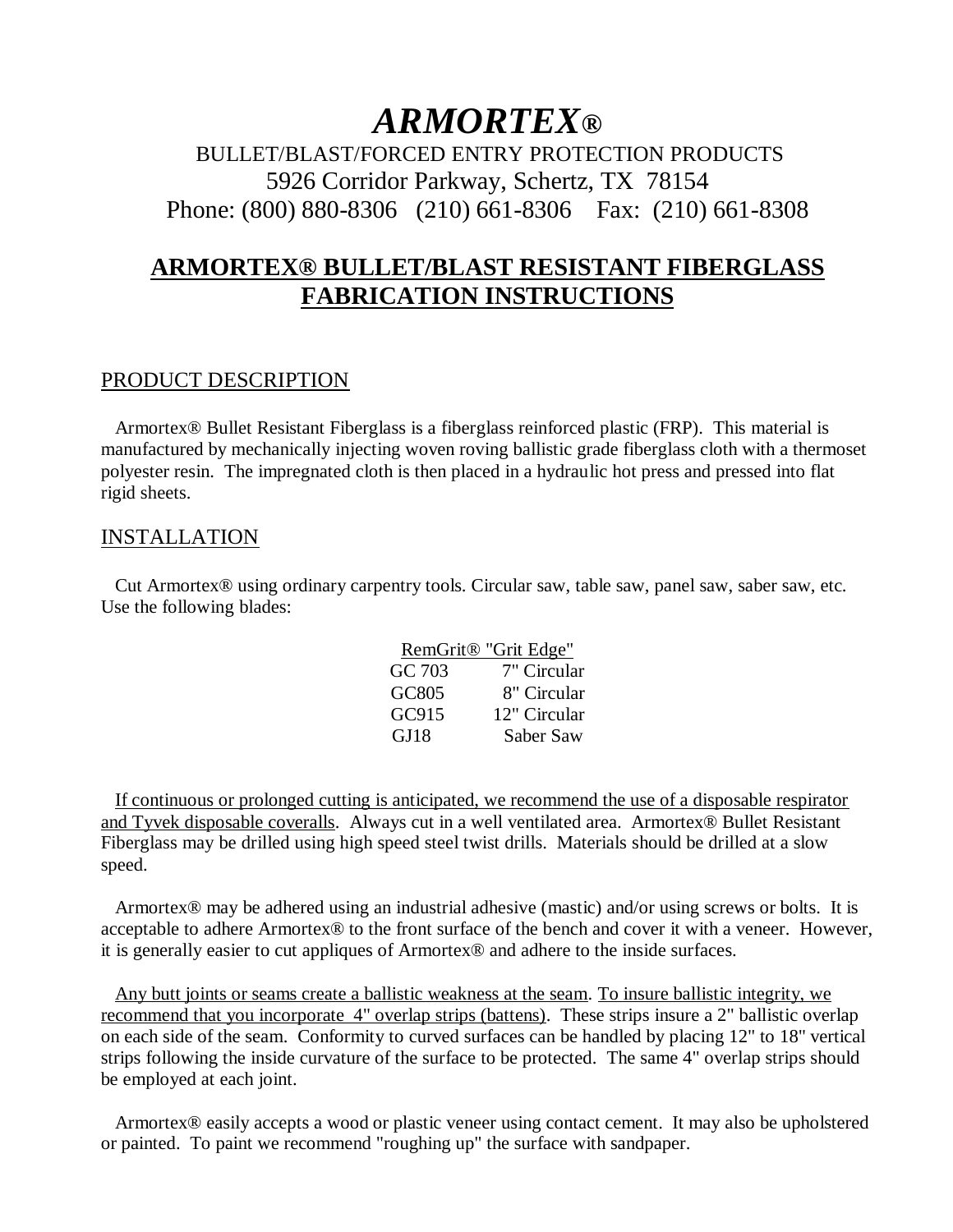## *ARMORTEX®*

BULLET/BLAST/FORCED ENTRY PROTECTION PRODUCTS 5926 Corridor Parkway, Schertz, TX 78154 Phone: (800) 880-8306 (210) 661-8306 Fax: (210) 661-8308

## **ARMORTEX® BULLET/BLAST RESISTANT FIBERGLASS FABRICATION INSTRUCTIONS**

## PRODUCT DESCRIPTION

 Armortex® Bullet Resistant Fiberglass is a fiberglass reinforced plastic (FRP). This material is manufactured by mechanically injecting woven roving ballistic grade fiberglass cloth with a thermoset polyester resin. The impregnated cloth is then placed in a hydraulic hot press and pressed into flat rigid sheets.

## **INSTALLATION**

 Cut Armortex® using ordinary carpentry tools. Circular saw, table saw, panel saw, saber saw, etc. Use the following blades:

|        | RemGrit <sup>®</sup> "Grit Edge" |
|--------|----------------------------------|
| GC 703 | 7" Circular                      |
| GC805  | 8" Circular                      |
| GC915  | 12" Circular                     |
| GJ18   | Saber Saw                        |

 If continuous or prolonged cutting is anticipated, we recommend the use of a disposable respirator and Tyvek disposable coveralls. Always cut in a well ventilated area. Armortex® Bullet Resistant Fiberglass may be drilled using high speed steel twist drills. Materials should be drilled at a slow speed.

 Armortex® may be adhered using an industrial adhesive (mastic) and/or using screws or bolts. It is acceptable to adhere Armortex® to the front surface of the bench and cover it with a veneer. However, it is generally easier to cut appliques of Armortex® and adhere to the inside surfaces.

 Any butt joints or seams create a ballistic weakness at the seam. To insure ballistic integrity, we recommend that you incorporate 4" overlap strips (battens). These strips insure a 2" ballistic overlap on each side of the seam. Conformity to curved surfaces can be handled by placing 12" to 18" vertical strips following the inside curvature of the surface to be protected. The same 4" overlap strips should be employed at each joint.

 Armortex® easily accepts a wood or plastic veneer using contact cement. It may also be upholstered or painted. To paint we recommend "roughing up" the surface with sandpaper.